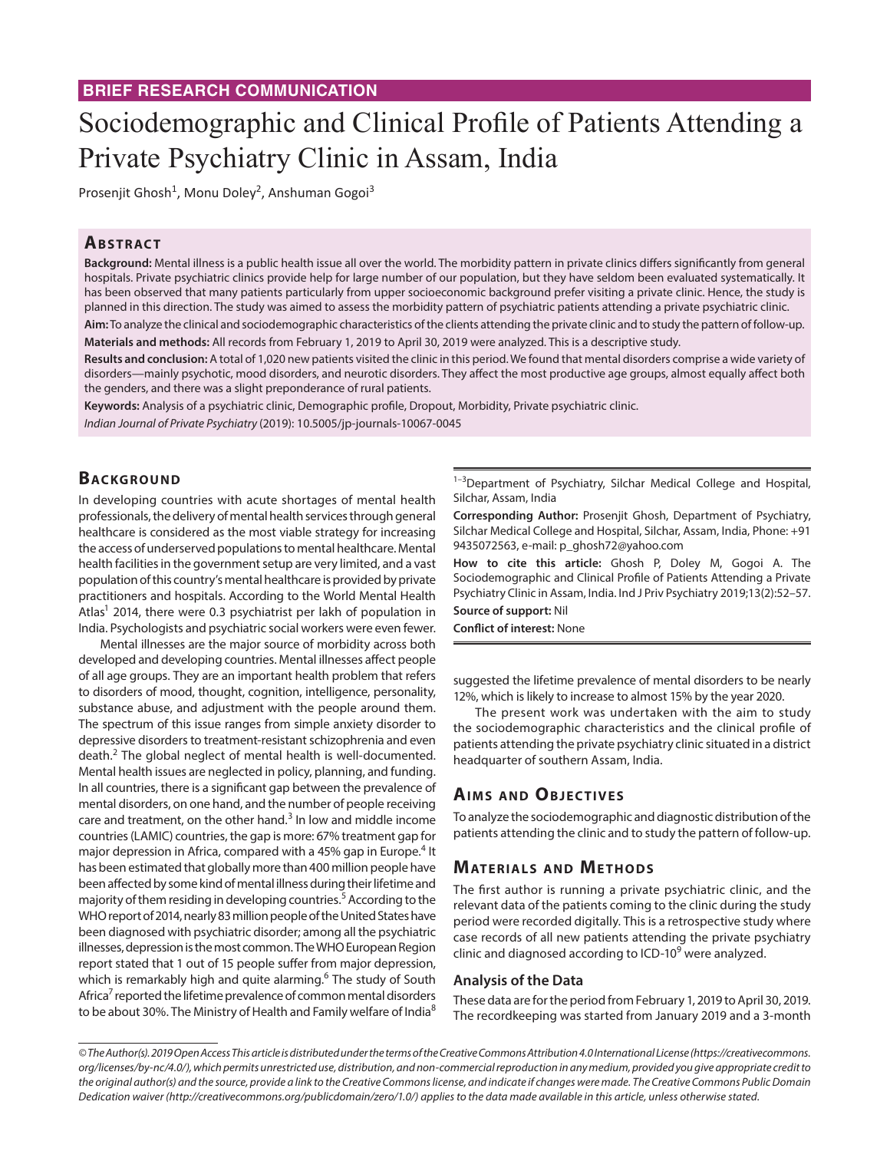# **BRIEF RESEARCH COMMUNICATION**

# Sociodemographic and Clinical Profile of Patients Attending a Private Psychiatry Clinic in Assam, India

Prosenjit Ghosh<sup>1</sup>, Monu Doley<sup>2</sup>, Anshuman Gogoi<sup>3</sup>

## **ABSTRACT**

**Background:** Mental illness is a public health issue all over the world. The morbidity pattern in private clinics differs significantly from general hospitals. Private psychiatric clinics provide help for large number of our population, but they have seldom been evaluated systematically. It has been observed that many patients particularly from upper socioeconomic background prefer visiting a private clinic. Hence, the study is planned in this direction. The study was aimed to assess the morbidity pattern of psychiatric patients attending a private psychiatric clinic.

**Aim:** To analyze the clinical and sociodemographic characteristics of the clients attending the private clinic and to study the pattern of follow-up. **Materials and methods:** All records from February 1, 2019 to April 30, 2019 were analyzed. This is a descriptive study.

**Results and conclusion:** A total of 1,020 new patients visited the clinic in this period. We found that mental disorders comprise a wide variety of disorders—mainly psychotic, mood disorders, and neurotic disorders. They affect the most productive age groups, almost equally affect both the genders, and there was a slight preponderance of rural patients.

**Keywords:** Analysis of a psychiatric clinic, Demographic profile, Dropout, Morbidity, Private psychiatric clinic. *Indian Journal of Private Psychiatry* (2019): 10.5005/jp-journals-10067-0045

# **BACKGROUND**

In developing countries with acute shortages of mental health professionals, the delivery of mental health services through general healthcare is considered as the most viable strategy for increasing the access of underserved populations to mental healthcare. Mental health facilities in the government setup are very limited, and a vast population of this country's mental healthcare is provided by private practitioners and hospitals. According to the World Mental Health Atlas<sup>1</sup> 2014, there were 0.3 psychiatrist per lakh of population in India. Psychologists and psychiatric social workers were even fewer.

Mental illnesses are the major source of morbidity across both developed and developing countries. Mental illnesses affect people of all age groups. They are an important health problem that refers to disorders of mood, thought, cognition, intelligence, personality, substance abuse, and adjustment with the people around them. The spectrum of this issue ranges from simple anxiety disorder to depressive disorders to treatment-resistant schizophrenia and even death.<sup>2</sup> The global neglect of mental health is well-documented. Mental health issues are neglected in policy, planning, and funding. In all countries, there is a significant gap between the prevalence of mental disorders, on one hand, and the number of people receiving care and treatment, on the other hand. $3$  In low and middle income countries (LAMIC) countries, the gap is more: 67% treatment gap for major depression in Africa, compared with a 45% gap in Europe.<sup>4</sup> It has been estimated that globally more than 400 million people have been affected by some kind of mental illness during their lifetime and majority of them residing in developing countries.<sup>5</sup> According to the WHO report of 2014, nearly 83 million people of the United States have been diagnosed with psychiatric disorder; among all the psychiatric illnesses, depression is the most common. The WHO European Region report stated that 1 out of 15 people suffer from major depression, which is remarkably high and quite alarming.<sup>6</sup> The study of South Africa<sup>7</sup> reported the lifetime prevalence of common mental disorders to be about 30%. The Ministry of Health and Family welfare of India<sup>8</sup>

<sup>1-3</sup>Department of Psychiatry, Silchar Medical College and Hospital, Silchar, Assam, India

**Corresponding Author:** Prosenjit Ghosh, Department of Psychiatry, Silchar Medical College and Hospital, Silchar, Assam, India, Phone: +91 9435072563, e-mail: p\_ghosh72@yahoo.com

**How to cite this article:** Ghosh P, Doley M, Gogoi A. The Sociodemographic and Clinical Profile of Patients Attending a Private Psychiatry Clinic in Assam, India. Ind J Priv Psychiatry 2019;13(2):52–57. **Source of support:** Nil

**Conflict of interest:** None

suggested the lifetime prevalence of mental disorders to be nearly 12%, which is likely to increase to almost 15% by the year 2020.

The present work was undertaken with the aim to study the sociodemographic characteristics and the clinical profile of patients attending the private psychiatry clinic situated in a district headquarter of southern Assam, India.

## **AIMS AND OBJECTIVES**

To analyze the sociodemographic and diagnostic distribution of the patients attending the clinic and to study the pattern of follow-up.

## **MATERIALS AND METHODS**

The first author is running a private psychiatric clinic, and the relevant data of the patients coming to the clinic during the study period were recorded digitally. This is a retrospective study where case records of all new patients attending the private psychiatry clinic and diagnosed according to ICD-10<sup>9</sup> were analyzed.

#### **Analysis of the Data**

These data are for the period from February 1, 2019 to April 30, 2019. The recordkeeping was started from January 2019 and a 3-month

*<sup>©</sup> The Author(s). 2019 Open Access This article is distributed under the terms of the Creative Commons Attribution 4.0 International License (https://creativecommons. org/licenses/by-nc/4.0/), which permits unrestricted use, distribution, and non-commercial reproduction in any medium, provided you give appropriate credit to the original author(s) and the source, provide a link to the Creative Commons license, and indicate if changes were made. The Creative Commons Public Domain Dedication waiver (http://creativecommons.org/publicdomain/zero/1.0/) applies to the data made available in this article, unless otherwise stated.*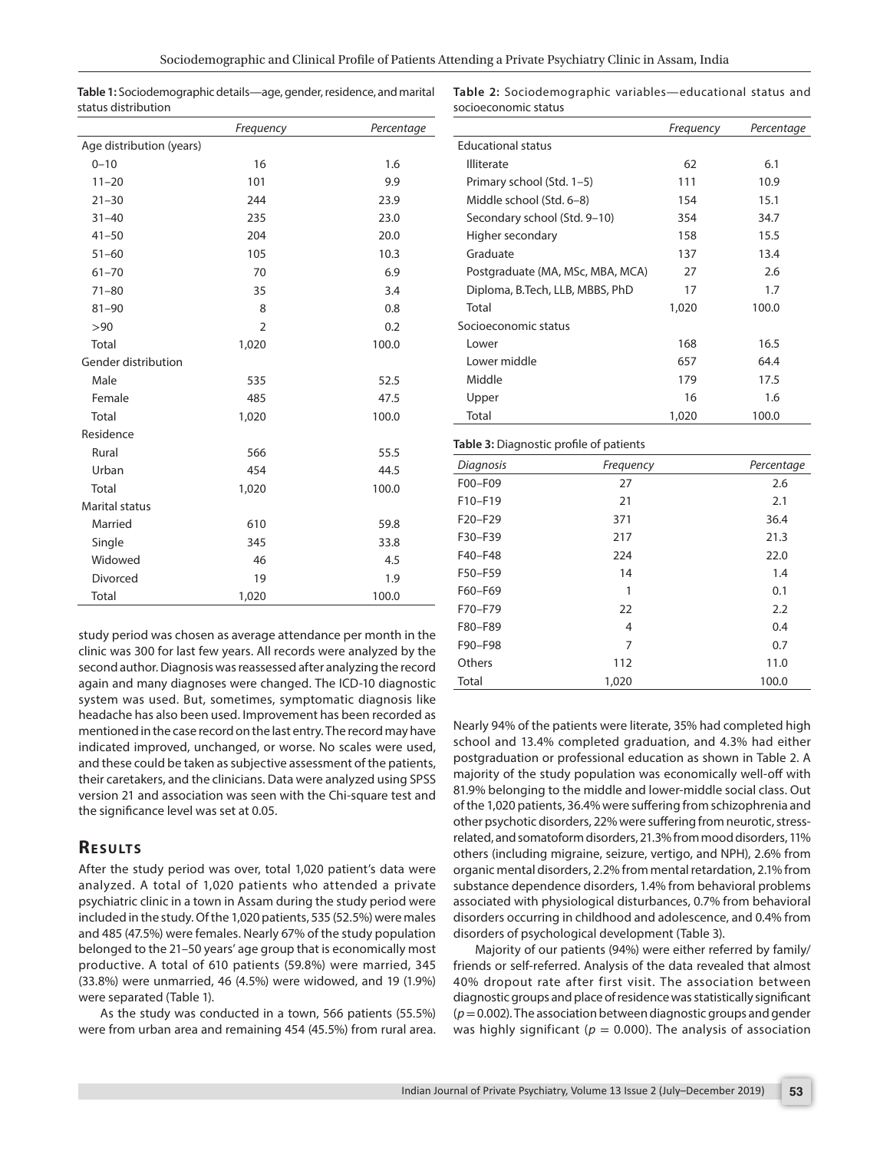| Table 1: Sociodemographic details—age, gender, residence, and marital |
|-----------------------------------------------------------------------|
| status distribution                                                   |

**Table 2:** Sociodemographic variables—educational status and socioeconomic status

|                          | Frequency      | Percentage |
|--------------------------|----------------|------------|
| Age distribution (years) |                |            |
| $0 - 10$                 | 16             | 1.6        |
| $11 - 20$                | 101            | 9.9        |
| $21 - 30$                | 244            | 23.9       |
| $31 - 40$                | 235            | 23.0       |
| $41 - 50$                | 204            | 20.0       |
| $51 - 60$                | 105            | 10.3       |
| $61 - 70$                | 70             | 6.9        |
| $71 - 80$                | 35             | 3.4        |
| $81 - 90$                | 8              | 0.8        |
| >90                      | $\overline{2}$ | 0.2        |
| Total                    | 1,020          | 100.0      |
| Gender distribution      |                |            |
| Male                     | 535            | 52.5       |
| Female                   | 485            | 47.5       |
| Total                    | 1,020          | 100.0      |
| Residence                |                |            |
| Rural                    | 566            | 55.5       |
| Urban                    | 454            | 44.5       |
| Total                    | 1,020          | 100.0      |
| <b>Marital status</b>    |                |            |
| Married                  | 610            | 59.8       |
| Single                   | 345            | 33.8       |
| Widowed                  | 46             | 4.5        |
| Divorced                 | 19             | 1.9        |
| Total                    | 1,020          | 100.0      |

study period was chosen as average attendance per month in the clinic was 300 for last few years. All records were analyzed by the second author. Diagnosis was reassessed after analyzing the record again and many diagnoses were changed. The ICD-10 diagnostic system was used. But, sometimes, symptomatic diagnosis like headache has also been used. Improvement has been recorded as mentioned in the case record on the last entry. The record may have indicated improved, unchanged, or worse. No scales were used, and these could be taken as subjective assessment of the patients, their caretakers, and the clinicians. Data were analyzed using SPSS version 21 and association was seen with the Chi-square test and the significance level was set at 0.05.

## **RESULTS**

After the study period was over, total 1,020 patient's data were analyzed. A total of 1,020 patients who attended a private psychiatric clinic in a town in Assam during the study period were included in the study. Of the 1,020 patients, 535 (52.5%) were males and 485 (47.5%) were females. Nearly 67% of the study population belonged to the 21–50 years' age group that is economically most productive. A total of 610 patients (59.8%) were married, 345 (33.8%) were unmarried, 46 (4.5%) were widowed, and 19 (1.9%) were separated (Table 1).

As the study was conducted in a town, 566 patients (55.5%) were from urban area and remaining 454 (45.5%) from rural area.

|                                  | Frequency | Percentage |
|----------------------------------|-----------|------------|
| <b>Educational status</b>        |           |            |
| <b>Illiterate</b>                | 62        | 6.1        |
| Primary school (Std. 1–5)        | 111       | 10.9       |
| Middle school (Std. 6-8)         | 154       | 15.1       |
| Secondary school (Std. 9–10)     | 354       | 34.7       |
| Higher secondary                 | 158       | 15.5       |
| Graduate                         | 137       | 13.4       |
| Postgraduate (MA, MSc, MBA, MCA) | 27        | 2.6        |
| Diploma, B.Tech, LLB, MBBS, PhD  | 17        | 1.7        |
| Total                            | 1,020     | 100.0      |
| Socioeconomic status             |           |            |
| Lower                            | 168       | 16.5       |
| Lower middle                     | 657       | 64.4       |
| Middle                           | 179       | 17.5       |
| Upper                            | 16        | 1.6        |
| Total                            | 1,020     | 100.0      |

| ັ         | ٠         |            |
|-----------|-----------|------------|
| Diagnosis | Frequency | Percentage |
| F00-F09   | 27        | 2.6        |
| $F10-F19$ | 21        | 2.1        |
| F20-F29   | 371       | 36.4       |
| F30-F39   | 217       | 21.3       |
| F40-F48   | 224       | 22.0       |
| F50-F59   | 14        | 1.4        |
| F60-F69   | 1         | 0.1        |
| F70-F79   | 22        | 2.2        |
| F80-F89   | 4         | 0.4        |
| F90-F98   | 7         | 0.7        |
| Others    | 112       | 11.0       |
| Total     | 1,020     | 100.0      |

Nearly 94% of the patients were literate, 35% had completed high school and 13.4% completed graduation, and 4.3% had either postgraduation or professional education as shown in Table 2. A majority of the study population was economically well-off with 81.9% belonging to the middle and lower-middle social class. Out of the 1,020 patients, 36.4% were suffering from schizophrenia and other psychotic disorders, 22% were suffering from neurotic, stressrelated, and somatoform disorders, 21.3% from mood disorders, 11% others (including migraine, seizure, vertigo, and NPH), 2.6% from organic mental disorders, 2.2% from mental retardation, 2.1% from substance dependence disorders, 1.4% from behavioral problems associated with physiological disturbances, 0.7% from behavioral disorders occurring in childhood and adolescence, and 0.4% from disorders of psychological development (Table 3).

Majority of our patients (94%) were either referred by family/ friends or self-referred. Analysis of the data revealed that almost 40% dropout rate after first visit. The association between diagnostic groups and place of residence was statistically significant (*p*= 0.002). The association between diagnostic groups and gender was highly significant ( $p = 0.000$ ). The analysis of association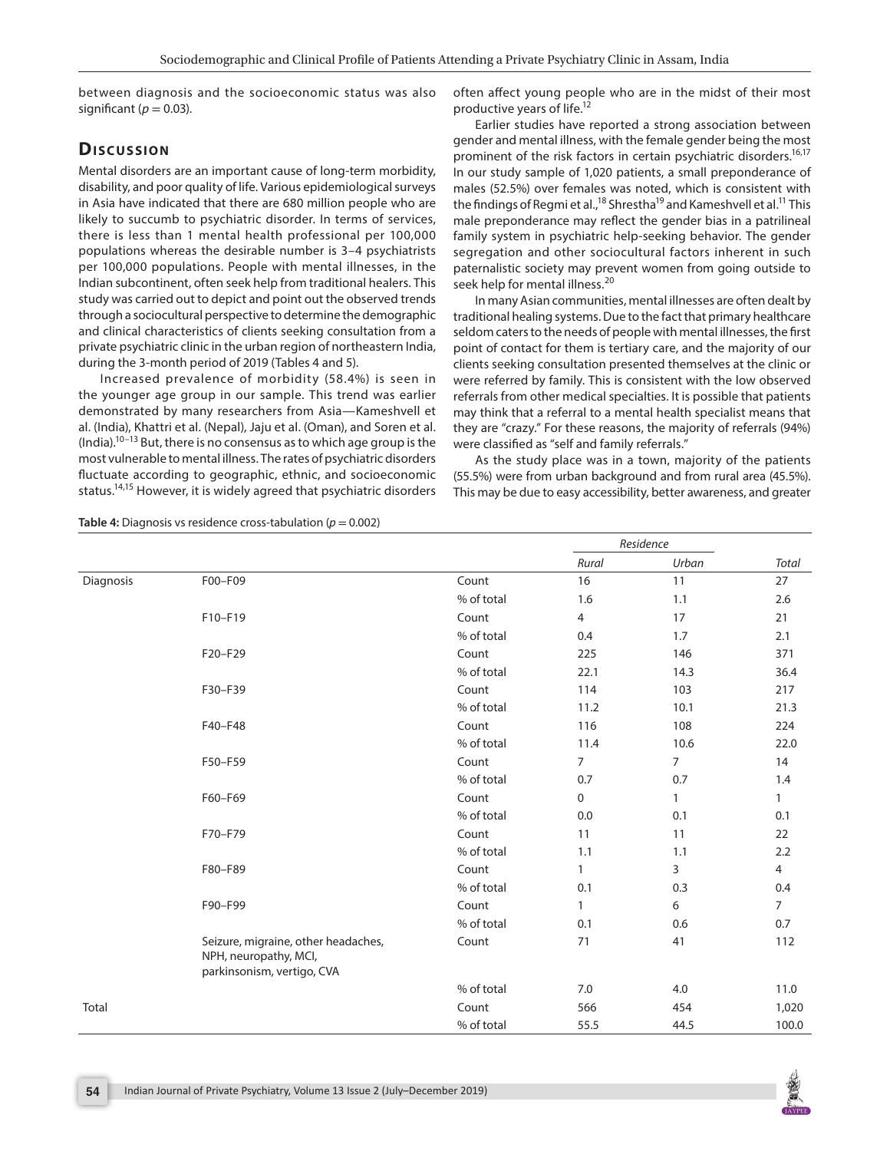between diagnosis and the socioeconomic status was also significant ( $p = 0.03$ ).

# Discussion

Mental disorders are an important cause of long-term morbidity, disability, and poor quality of life. Various epidemiological surveys in Asia have indicated that there are 680 million people who are likely to succumb to psychiatric disorder. In terms of services, there is less than 1 mental health professional per 100,000 populations whereas the desirable number is 3–4 psychiatrists per 100,000 populations. People with mental illnesses, in the Indian subcontinent, often seek help from traditional healers. This study was carried out to depict and point out the observed trends through a sociocultural perspective to determine the demographic and clinical characteristics of clients seeking consultation from a private psychiatric clinic in the urban region of northeastern India, during the 3-month period of 2019 (Tables 4 and 5).

Increased prevalence of morbidity (58.4%) is seen in the younger age group in our sample. This trend was earlier demonstrated by many researchers from Asia—Kameshvell et al. (India), Khattri et al. (Nepal), Jaju et al. (Oman), and Soren et al.  $(India).<sup>10–13</sup> But, there is no consensus as to which age group is the$ most vulnerable to mental illness. The rates of psychiatric disorders fluctuate according to geographic, ethnic, and socioeconomic status.14,15 However, it is widely agreed that psychiatric disorders

often affect young people who are in the midst of their most productive years of life.12

Earlier studies have reported a strong association between gender and mental illness, with the female gender being the most prominent of the risk factors in certain psychiatric disorders.<sup>16,17</sup> In our study sample of 1,020 patients, a small preponderance of males (52.5%) over females was noted, which is consistent with the findings of Regmi et al.,<sup>18</sup> Shrestha<sup>19</sup> and Kameshvell et al.<sup>11</sup> This male preponderance may reflect the gender bias in a patrilineal family system in psychiatric help-seeking behavior. The gender segregation and other sociocultural factors inherent in such paternalistic society may prevent women from going outside to seek help for mental illness.<sup>20</sup>

In many Asian communities, mental illnesses are often dealt by traditional healing systems. Due to the fact that primary healthcare seldom caters to the needs of people with mental illnesses, the first point of contact for them is tertiary care, and the majority of our clients seeking consultation presented themselves at the clinic or were referred by family. This is consistent with the low observed referrals from other medical specialties. It is possible that patients may think that a referral to a mental health specialist means that they are "crazy." For these reasons, the majority of referrals (94%) were classified as "self and family referrals."

As the study place was in a town, majority of the patients (55.5%) were from urban background and from rural area (45.5%). This may be due to easy accessibility, better awareness, and greater

**Table 4:** Diagnosis vs residence cross-tabulation (*p* = 0.002)

|           |                                                                                            |            | Residence      |       |                |
|-----------|--------------------------------------------------------------------------------------------|------------|----------------|-------|----------------|
|           |                                                                                            |            | Rural          | Urban | Total          |
| Diagnosis | F00-F09                                                                                    | Count      | 16             | 11    | 27             |
|           |                                                                                            | % of total | 1.6            | 1.1   | 2.6            |
|           | F10-F19                                                                                    | Count      | $\overline{4}$ | 17    | 21             |
|           |                                                                                            | % of total | 0.4            | 1.7   | 2.1            |
|           | F20-F29                                                                                    | Count      | 225            | 146   | 371            |
|           |                                                                                            | % of total | 22.1           | 14.3  | 36.4           |
|           | F30-F39                                                                                    | Count      | 114            | 103   | 217            |
|           |                                                                                            | % of total | 11.2           | 10.1  | 21.3           |
|           | F40-F48                                                                                    | Count      | 116            | 108   | 224            |
|           |                                                                                            | % of total | 11.4           | 10.6  | 22.0           |
|           | F50-F59                                                                                    | Count      | $7^{\circ}$    | 7     | 14             |
|           |                                                                                            | % of total | 0.7            | 0.7   | 1.4            |
|           | F60-F69                                                                                    | Count      | 0              | 1     | $\mathbf{1}$   |
|           |                                                                                            | % of total | 0.0            | 0.1   | 0.1            |
|           | F70-F79                                                                                    | Count      | 11             | 11    | 22             |
|           |                                                                                            | % of total | 1.1            | 1.1   | 2.2            |
|           | F80-F89                                                                                    | Count      | $\mathbf{1}$   | 3     | $\overline{4}$ |
|           |                                                                                            | % of total | 0.1            | 0.3   | 0.4            |
|           | F90-F99                                                                                    | Count      | $\mathbf{1}$   | 6     | $\overline{7}$ |
|           |                                                                                            | % of total | 0.1            | 0.6   | 0.7            |
|           | Seizure, migraine, other headaches,<br>NPH, neuropathy, MCI,<br>parkinsonism, vertigo, CVA | Count      | 71             | 41    | 112            |
|           |                                                                                            | % of total | 7.0            | 4.0   | 11.0           |
| Total     |                                                                                            | Count      | 566            | 454   | 1,020          |
|           |                                                                                            | % of total | 55.5           | 44.5  | 100.0          |

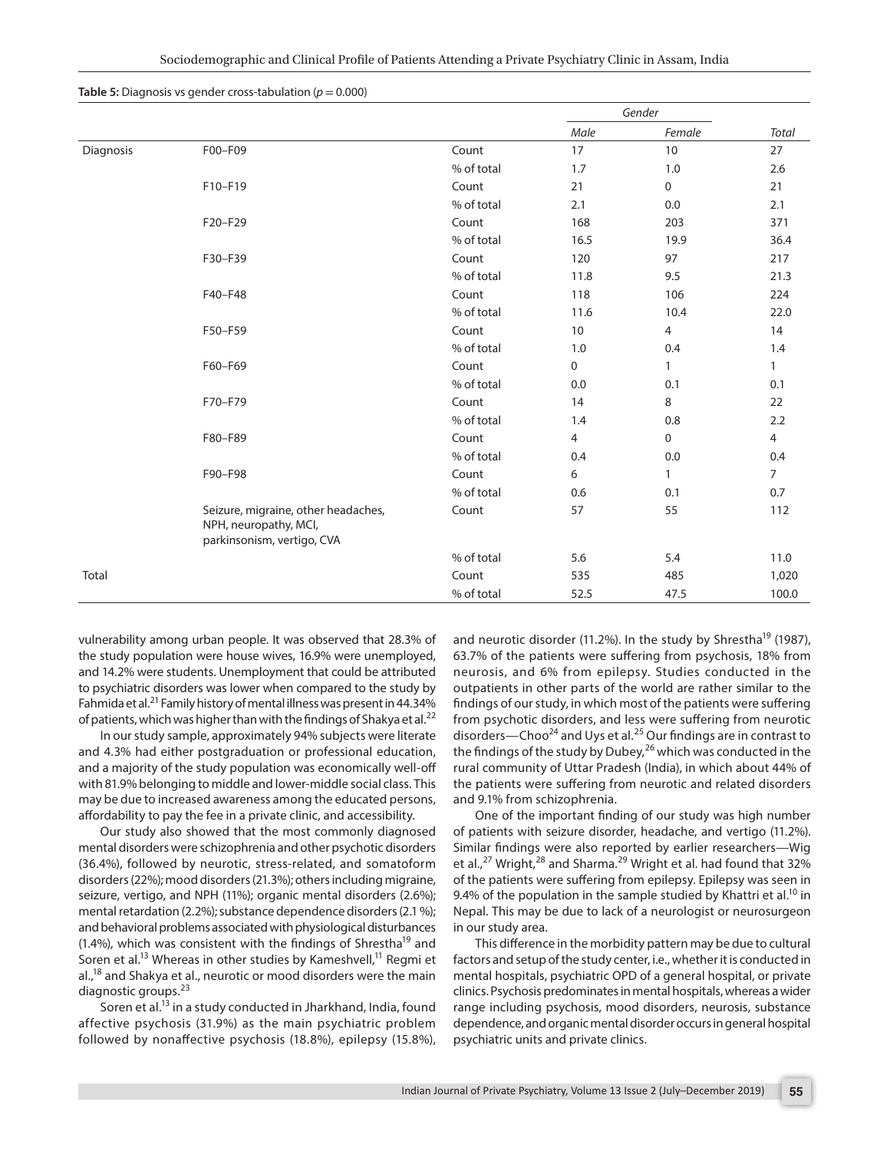|           |                                                                                            |            | Gender |              |                |  |
|-----------|--------------------------------------------------------------------------------------------|------------|--------|--------------|----------------|--|
|           |                                                                                            |            | Male   | Female       | Total          |  |
| Diagnosis | F00-F09                                                                                    | Count      | 17     | 10           | 27             |  |
|           |                                                                                            | % of total | 1.7    | 1.0          | 2.6            |  |
|           | F10-F19                                                                                    | Count      | 21     | $\mathbf 0$  | 21             |  |
|           |                                                                                            | % of total | 2.1    | 0.0          | 2.1            |  |
|           | F20-F29                                                                                    | Count      | 168    | 203          | 371            |  |
|           |                                                                                            | % of total | 16.5   | 19.9         | 36.4           |  |
|           | F30-F39                                                                                    | Count      | 120    | 97           | 217            |  |
|           |                                                                                            | % of total | 11.8   | 9.5          | 21.3           |  |
|           | F40-F48                                                                                    | Count      | 118    | 106          | 224            |  |
|           |                                                                                            | % of total | 11.6   | 10.4         | 22.0           |  |
|           | F50-F59                                                                                    | Count      | 10     | 4            | 14             |  |
|           |                                                                                            | % of total | 1.0    | 0.4          | 1.4            |  |
|           | F60-F69                                                                                    | Count      | 0      | $\mathbf{1}$ | $\mathbf{1}$   |  |
|           |                                                                                            | % of total | 0.0    | 0.1          | 0.1            |  |
|           | F70-F79                                                                                    | Count      | 14     | 8            | 22             |  |
|           |                                                                                            | % of total | 1.4    | 0.8          | 2.2            |  |
|           | F80-F89                                                                                    | Count      | 4      | $\mathbf 0$  | $\overline{4}$ |  |
|           |                                                                                            | % of total | 0.4    | 0.0          | 0.4            |  |
|           | F90-F98                                                                                    | Count      | 6      | $\mathbf{1}$ | $\overline{7}$ |  |
|           |                                                                                            | % of total | 0.6    | 0.1          | 0.7            |  |
|           | Seizure, migraine, other headaches,<br>NPH, neuropathy, MCI,<br>parkinsonism, vertigo, CVA | Count      | 57     | 55           | 112            |  |
|           |                                                                                            | % of total | 5.6    | 5.4          | 11.0           |  |
| Total     |                                                                                            | Count      | 535    | 485          | 1,020          |  |
|           |                                                                                            | % of total | 52.5   | 47.5         | 100.0          |  |

**Table 5:** Diagnosis vs gender cross-tabulation (*p* = 0.000)

vulnerability among urban people. It was observed that 28.3% of the study population were house wives, 16.9% were unemployed, and 14.2% were students. Unemployment that could be attributed to psychiatric disorders was lower when compared to the study by Fahmida et al.<sup>21</sup> Family history of mental illness was present in 44.34% of patients, which was higher than with the findings of Shakya et al. $^{22}$ 

In our study sample, approximately 94% subjects were literate and 4.3% had either postgraduation or professional education, and a majority of the study population was economically well-off with 81.9% belonging to middle and lower-middle social class. This may be due to increased awareness among the educated persons, affordability to pay the fee in a private clinic, and accessibility.

Our study also showed that the most commonly diagnosed mental disorders were schizophrenia and other psychotic disorders (36.4%), followed by neurotic, stress-related, and somatoform disorders (22%); mood disorders (21.3%); others including migraine, seizure, vertigo, and NPH (11%); organic mental disorders (2.6%); mental retardation (2.2%); substance dependence disorders (2.1 %); and behavioral problems associated with physiological disturbances (1.4%), which was consistent with the findings of Shrestha<sup>19</sup> and Soren et al.<sup>13</sup> Whereas in other studies by Kameshvell,<sup>11</sup> Regmi et al.,<sup>18</sup> and Shakya et al., neurotic or mood disorders were the main diagnostic groups.<sup>23</sup>

Soren et al.<sup>13</sup> in a study conducted in Jharkhand, India, found affective psychosis (31.9%) as the main psychiatric problem followed by nonaffective psychosis (18.8%), epilepsy (15.8%), and neurotic disorder (11.2%). In the study by Shrestha<sup>19</sup> (1987), 63.7% of the patients were suffering from psychosis, 18% from neurosis, and 6% from epilepsy. Studies conducted in the outpatients in other parts of the world are rather similar to the findings of our study, in which most of the patients were suffering from psychotic disorders, and less were suffering from neurotic disorders—Choo<sup>24</sup> and Uys et al.<sup>25</sup> Our findings are in contrast to the findings of the study by Dubey,  $^{26}$  which was conducted in the rural community of Uttar Pradesh (India), in which about 44% of the patients were suffering from neurotic and related disorders and 9.1% from schizophrenia.

One of the important finding of our study was high number of patients with seizure disorder, headache, and vertigo (11.2%). Similar findings were also reported by earlier researchers—Wig et al., $^{27}$  Wright, $^{28}$  and Sharma.<sup>29</sup> Wright et al. had found that 32% of the patients were suffering from epilepsy. Epilepsy was seen in 9.4% of the population in the sample studied by Khattri et al.<sup>10</sup> in Nepal. This may be due to lack of a neurologist or neurosurgeon in our study area.

This difference in the morbidity pattern may be due to cultural factors and setup of the study center, i.e., whether it is conducted in mental hospitals, psychiatric OPD of a general hospital, or private clinics. Psychosis predominates in mental hospitals, whereas a wider range including psychosis, mood disorders, neurosis, substance dependence, and organic mental disorder occurs in general hospital psychiatric units and private clinics.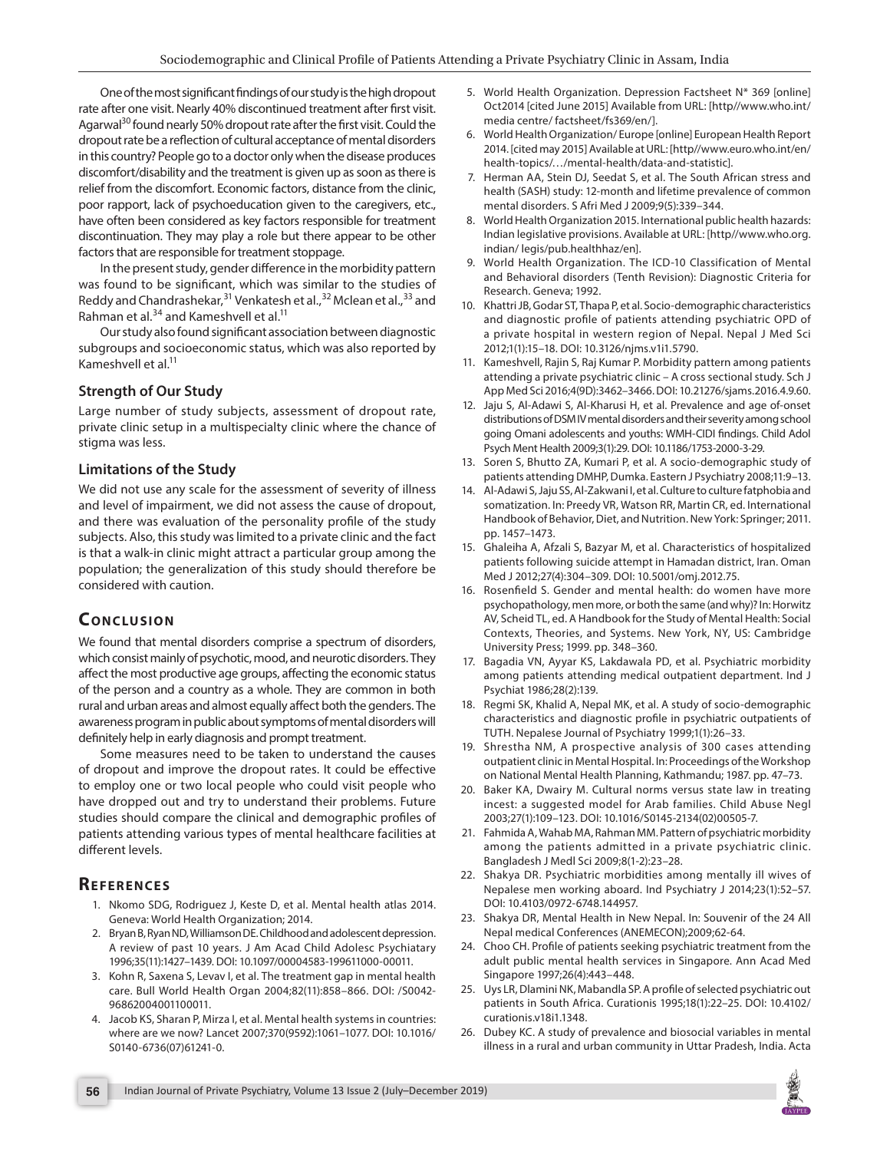One of the most significant findings of our study is the high dropout rate after one visit. Nearly 40% discontinued treatment after first visit. Agarwal<sup>30</sup> found nearly 50% dropout rate after the first visit. Could the dropout rate be a reflection of cultural acceptance of mental disorders in this country? People go to a doctor only when the disease produces discomfort/disability and the treatment is given up as soon as there is relief from the discomfort. Economic factors, distance from the clinic, poor rapport, lack of psychoeducation given to the caregivers, etc., have often been considered as key factors responsible for treatment discontinuation. They may play a role but there appear to be other factors that are responsible for treatment stoppage.

In the present study, gender difference in the morbidity pattern was found to be significant, which was similar to the studies of Reddy and Chandrashekar,<sup>31</sup> Venkatesh et al.,<sup>32</sup> Mclean et al.,<sup>33</sup> and Rahman et al.<sup>34</sup> and Kameshvell et al.<sup>11</sup>

Our study also found significant association between diagnostic subgroups and socioeconomic status, which was also reported by Kameshvell et al.<sup>11</sup>

#### **Strength of Our Study**

Large number of study subjects, assessment of dropout rate, private clinic setup in a multispecialty clinic where the chance of stigma was less.

#### **Limitations of the Study**

We did not use any scale for the assessment of severity of illness and level of impairment, we did not assess the cause of dropout, and there was evaluation of the personality profile of the study subjects. Also, this study was limited to a private clinic and the fact is that a walk-in clinic might attract a particular group among the population; the generalization of this study should therefore be considered with caution.

## **CONCLUSION**

We found that mental disorders comprise a spectrum of disorders, which consist mainly of psychotic, mood, and neurotic disorders. They affect the most productive age groups, affecting the economic status of the person and a country as a whole. They are common in both rural and urban areas and almost equally affect both the genders. The awareness program in public about symptoms of mental disorders will definitely help in early diagnosis and prompt treatment.

Some measures need to be taken to understand the causes of dropout and improve the dropout rates. It could be effective to employ one or two local people who could visit people who have dropped out and try to understand their problems. Future studies should compare the clinical and demographic profiles of patients attending various types of mental healthcare facilities at different levels.

## **REFERENCES**

- 1. Nkomo SDG, Rodriguez J, Keste D, et al. Mental health atlas 2014. Geneva: World Health Organization; 2014.
- 2. Bryan B, Ryan ND, Williamson DE. Childhood and adolescent depression. A review of past 10 years. J Am Acad Child Adolesc Psychiatary 1996;35(11):1427–1439. DOI: 10.1097/00004583-199611000-00011.
- 3. Kohn R, Saxena S, Levav I, et al. The treatment gap in mental health care. Bull World Health Organ 2004;82(11):858–866. DOI: /S0042- 96862004001100011.
- 4. Jacob KS, Sharan P, Mirza I, et al. Mental health systems in countries: where are we now? Lancet 2007;370(9592):1061–1077. DOI: 10.1016/ S0140-6736(07)61241-0.
- 5. World Health Organization. Depression Factsheet N\* 369 [online] Oct2014 [cited June 2015] Available from URL: [http//www.who.int/ media centre/ factsheet/fs369/en/].
- 6. World Health Organization/ Europe [online] European Health Report 2014. [cited may 2015] Available at URL: [http//www.euro.who.int/en/ health-topics/…/mental-health/data-and-statistic].
- 7. Herman AA, Stein DJ, Seedat S, et al. The South African stress and health (SASH) study: 12-month and lifetime prevalence of common mental disorders. S Afri Med J 2009;9(5):339–344.
- 8. World Health Organization 2015. International public health hazards: Indian legislative provisions. Available at URL: [http//www.who.org. indian/ legis/pub.healthhaz/en].
- 9. World Health Organization. The ICD-10 Classification of Mental and Behavioral disorders (Tenth Revision): Diagnostic Criteria for Research. Geneva; 1992.
- 10. Khattri JB, Godar ST, Thapa P, et al. Socio-demographic characteristics and diagnostic profile of patients attending psychiatric OPD of a private hospital in western region of Nepal. Nepal J Med Sci 2012;1(1):15–18. DOI: 10.3126/njms.v1i1.5790.
- 11. Kameshvell, Rajin S, Raj Kumar P. Morbidity pattern among patients attending a private psychiatric clinic – A cross sectional study. Sch J App Med Sci 2016;4(9D):3462–3466. DOI: 10.21276/sjams.2016.4.9.60.
- 12. Jaju S, Al-Adawi S, Al-Kharusi H, et al. Prevalence and age of-onset distributions of DSM IV mental disorders and their severity among school going Omani adolescents and youths: WMH-CIDI findings. Child Adol Psych Ment Health 2009;3(1):29. DOI: 10.1186/1753-2000-3-29.
- 13. Soren S, Bhutto ZA, Kumari P, et al. A socio-demographic study of patients attending DMHP, Dumka. Eastern J Psychiatry 2008;11:9–13.
- 14. Al-Adawi S, Jaju SS, Al-Zakwani I, et al. Culture to culture fatphobia and somatization. In: Preedy VR, Watson RR, Martin CR, ed. International Handbook of Behavior, Diet, and Nutrition. New York: Springer; 2011. pp. 1457–1473.
- 15. Ghaleiha A, Afzali S, Bazyar M, et al. Characteristics of hospitalized patients following suicide attempt in Hamadan district, Iran. Oman Med J 2012;27(4):304–309. DOI: 10.5001/omj.2012.75.
- 16. Rosenfield S. Gender and mental health: do women have more psychopathology, men more, or both the same (and why)? In: Horwitz AV, Scheid TL, ed. A Handbook for the Study of Mental Health: Social Contexts, Theories, and Systems. New York, NY, US: Cambridge University Press; 1999. pp. 348–360.
- 17. Bagadia VN, Ayyar KS, Lakdawala PD, et al. Psychiatric morbidity among patients attending medical outpatient department. Ind J Psychiat 1986;28(2):139.
- 18. Regmi SK, Khalid A, Nepal MK, et al. A study of socio-demographic characteristics and diagnostic profile in psychiatric outpatients of TUTH. Nepalese Journal of Psychiatry 1999;1(1):26–33.
- 19. Shrestha NM, A prospective analysis of 300 cases attending outpatient clinic in Mental Hospital. In: Proceedings of the Workshop on National Mental Health Planning, Kathmandu; 1987. pp. 47–73.
- 20. Baker KA, Dwairy M. Cultural norms versus state law in treating incest: a suggested model for Arab families. Child Abuse Negl 2003;27(1):109–123. DOI: 10.1016/S0145-2134(02)00505-7.
- 21. Fahmida A, Wahab MA, Rahman MM. Pattern of psychiatric morbidity among the patients admitted in a private psychiatric clinic. Bangladesh J Medl Sci 2009;8(1-2):23–28.
- 22. Shakya DR. Psychiatric morbidities among mentally ill wives of Nepalese men working aboard. Ind Psychiatry J 2014;23(1):52–57. DOI: 10.4103/0972-6748.144957.
- 23. Shakya DR, Mental Health in New Nepal. In: Souvenir of the 24 All Nepal medical Conferences (ANEMECON);2009;62-64.
- 24. Choo CH. Profile of patients seeking psychiatric treatment from the adult public mental health services in Singapore. Ann Acad Med Singapore 1997;26(4):443–448.
- 25. Uys LR, Dlamini NK, Mabandla SP. A profile of selected psychiatric out patients in South Africa. Curationis 1995;18(1):22–25. DOI: 10.4102/ curationis.v18i1.1348.
- 26. Dubey KC. A study of prevalence and biosocial variables in mental illness in a rural and urban community in Uttar Pradesh, India. Acta